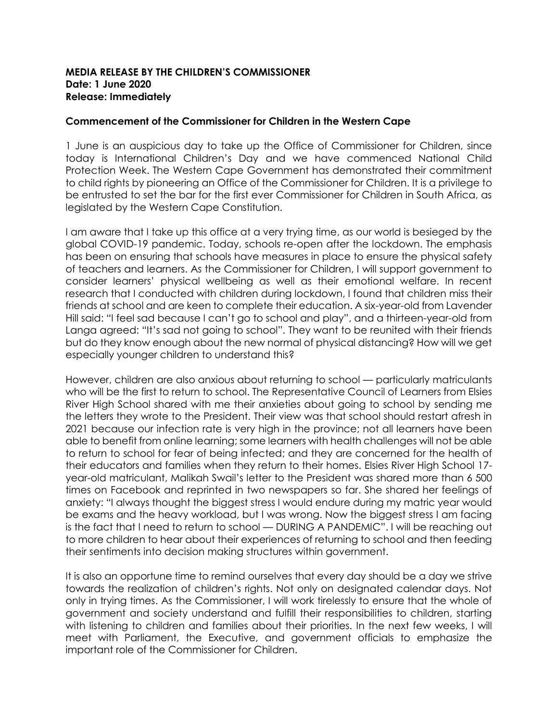## **MEDIA RELEASE BY THE CHILDREN'S COMMISSIONER Date: 1 June 2020 Release: Immediately**

## **Commencement of the Commissioner for Children in the Western Cape**

1 June is an auspicious day to take up the Office of Commissioner for Children, since today is International Children's Day and we have commenced National Child Protection Week. The Western Cape Government has demonstrated their commitment to child rights by pioneering an Office of the Commissioner for Children. It is a privilege to be entrusted to set the bar for the first ever Commissioner for Children in South Africa, as legislated by the Western Cape Constitution.

I am aware that I take up this office at a very trying time, as our world is besieged by the global COVID-19 pandemic. Today, schools re-open after the lockdown. The emphasis has been on ensuring that schools have measures in place to ensure the physical safety of teachers and learners. As the Commissioner for Children, I will support government to consider learners' physical wellbeing as well as their emotional welfare. In recent research that I conducted with children during lockdown, I found that children miss their friends at school and are keen to complete their education. A six-year-old from Lavender Hill said: "I feel sad because I can't go to school and play", and a thirteen-year-old from Langa agreed: "It's sad not going to school". They want to be reunited with their friends but do they know enough about the new normal of physical distancing? How will we get especially younger children to understand this?

However, children are also anxious about returning to school — particularly matriculants who will be the first to return to school. The Representative Council of Learners from Elsies River High School shared with me their anxieties about going to school by sending me the letters they wrote to the President. Their view was that school should restart afresh in 2021 because our infection rate is very high in the province; not all learners have been able to benefit from online learning; some learners with health challenges will not be able to return to school for fear of being infected; and they are concerned for the health of their educators and families when they return to their homes. Elsies River High School 17 year-old matriculant, Malikah Swail's letter to the President was shared more than 6 500 times on Facebook and reprinted in two newspapers so far. She shared her feelings of anxiety: "I always thought the biggest stress I would endure during my matric year would be exams and the heavy workload, but I was wrong. Now the biggest stress I am facing is the fact that I need to return to school — DURING A PANDEMIC". I will be reaching out to more children to hear about their experiences of returning to school and then feeding their sentiments into decision making structures within government.

It is also an opportune time to remind ourselves that every day should be a day we strive towards the realization of children's rights. Not only on designated calendar days. Not only in trying times. As the Commissioner, I will work tirelessly to ensure that the whole of government and society understand and fulfill their responsibilities to children, starting with listening to children and families about their priorities. In the next few weeks, I will meet with Parliament, the Executive, and government officials to emphasize the important role of the Commissioner for Children.